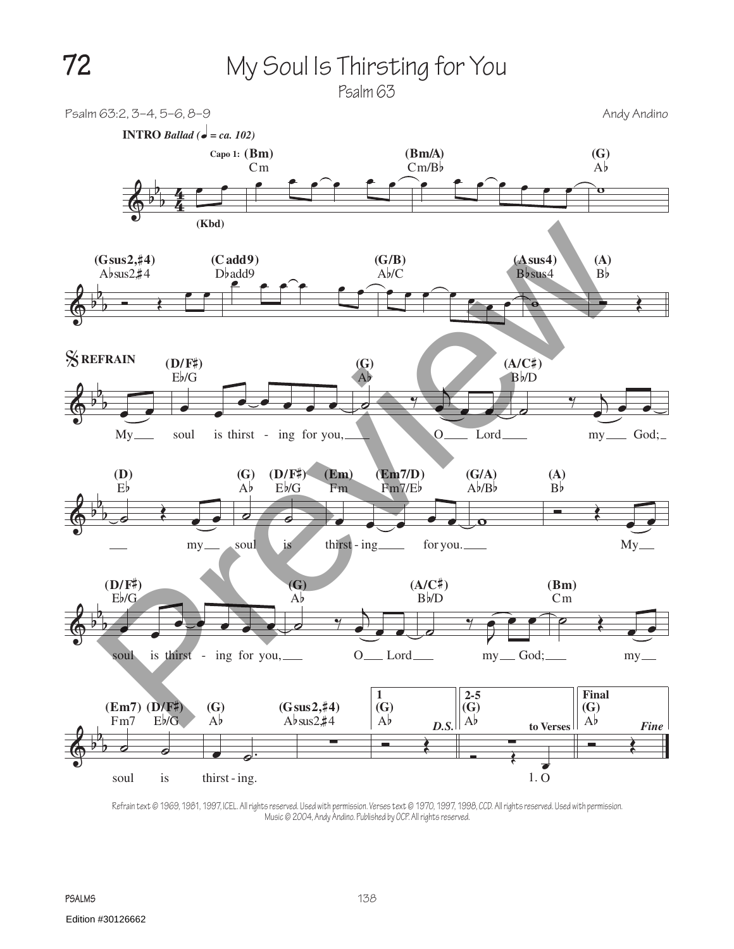**72** My Soul Is Thirsting for You

Psalm 63

Psalm 63:2, 3–4, 5–6, 8–9 Andrew Andy Andino



Refrain text © 1969, 1981, 1997, ICEL. All rights reserved. Used with permission. Verses text © 1970, 1997, 1998, CCD. All rights reserved. Used with permission. Music © 2004, Andy Andino. Published by OCP. All rights reserved.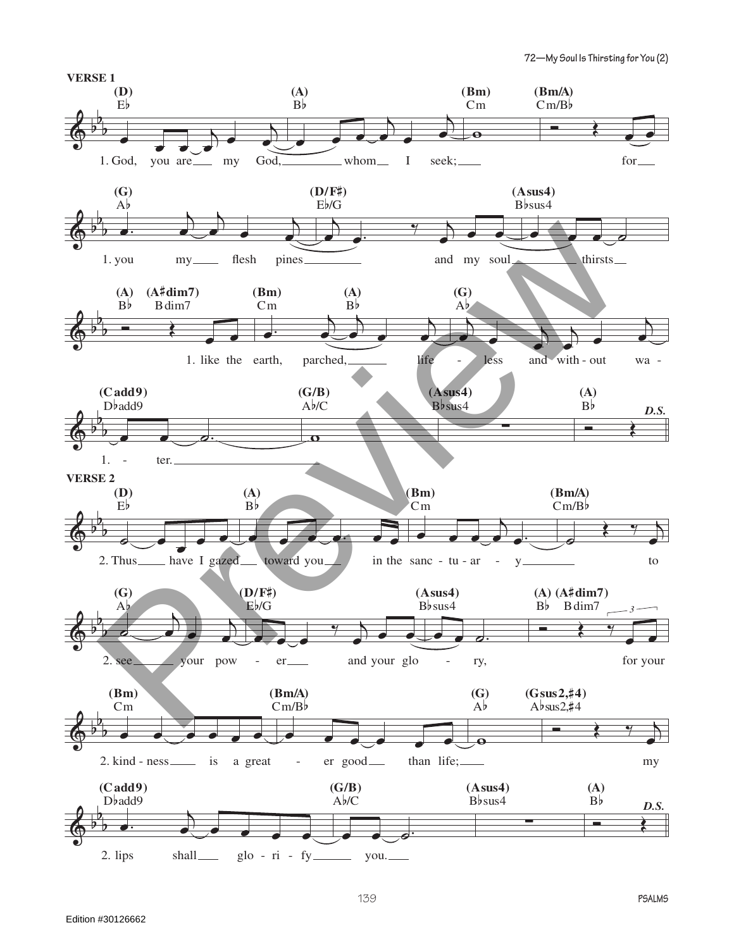